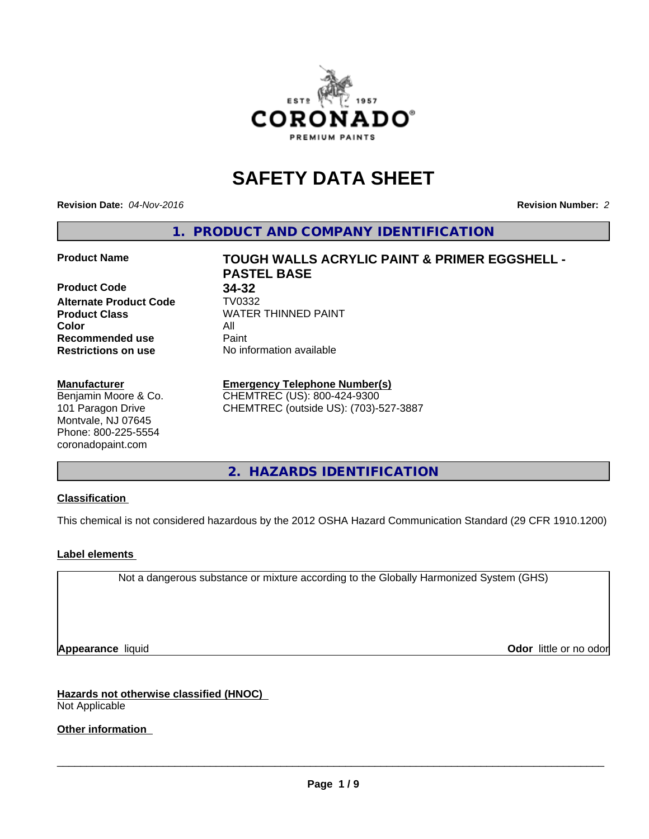

# **SAFETY DATA SHEET**

**Revision Date:** *04-Nov-2016* **Revision Number:** *2*

**1. PRODUCT AND COMPANY IDENTIFICATION**

**Product Code 34-32 Alternate Product Code TV0332<br>Product Class COV MATER Color** All **Recommended use** Paint<br> **Restrictions on use** No inf

#### **Manufacturer**

Benjamin Moore & Co. 101 Paragon Drive Montvale, NJ 07645 Phone: 800-225-5554 coronadopaint.com

**Product Name TOUGH WALLS ACRYLIC PAINT & PRIMER EGGSHELL - PASTEL BASE Product Class** WATER THINNED PAINT<br>
Color **No information available** 

# **Emergency Telephone Number(s)**

CHEMTREC (US): 800-424-9300 CHEMTREC (outside US): (703)-527-3887

**2. HAZARDS IDENTIFICATION**

### **Classification**

This chemical is not considered hazardous by the 2012 OSHA Hazard Communication Standard (29 CFR 1910.1200)

#### **Label elements**

Not a dangerous substance or mixture according to the Globally Harmonized System (GHS)

**Appearance** liquid **Odor in the original of the original of the original of the original of the original of the original of the original of the original of the original of the original of the original of the original of t** 

**Hazards not otherwise classified (HNOC)** Not Applicable

**Other information**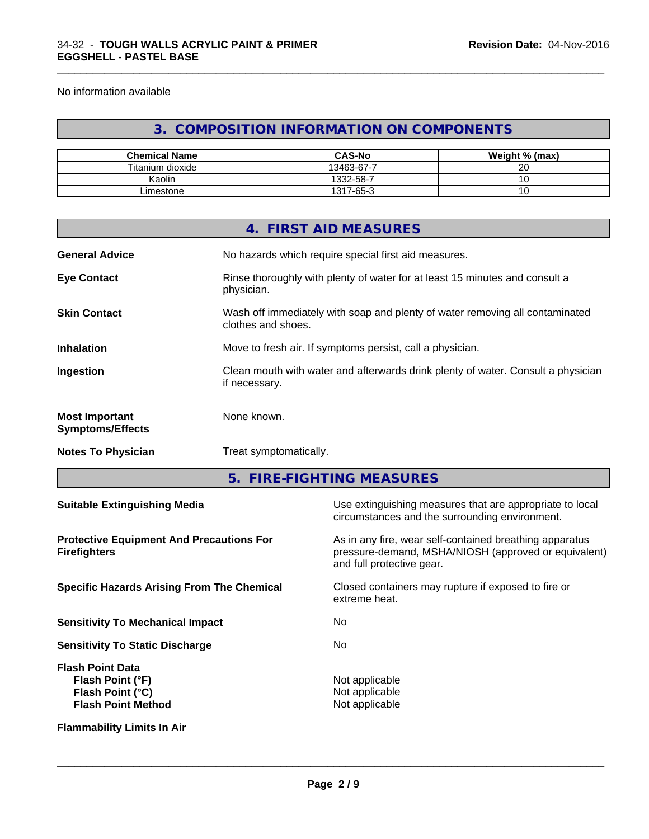No information available

# **3. COMPOSITION INFORMATION ON COMPONENTS**

\_\_\_\_\_\_\_\_\_\_\_\_\_\_\_\_\_\_\_\_\_\_\_\_\_\_\_\_\_\_\_\_\_\_\_\_\_\_\_\_\_\_\_\_\_\_\_\_\_\_\_\_\_\_\_\_\_\_\_\_\_\_\_\_\_\_\_\_\_\_\_\_\_\_\_\_\_\_\_\_\_\_\_\_\_\_\_\_\_\_\_\_\_

| <b>Chemical Name</b> | <b>CAS-No</b> | Weight % (max) |
|----------------------|---------------|----------------|
| Titanium dioxide     | 13463-67-7    | ററ<br>∠∪       |
| Kaolin               | 332-58-7      |                |
| ∟imestone            | 1317-65-3     | J              |

|                                                  | 4. FIRST AID MEASURES                                                                              |
|--------------------------------------------------|----------------------------------------------------------------------------------------------------|
| <b>General Advice</b>                            | No hazards which require special first aid measures.                                               |
| <b>Eye Contact</b>                               | Rinse thoroughly with plenty of water for at least 15 minutes and consult a<br>physician.          |
| <b>Skin Contact</b>                              | Wash off immediately with soap and plenty of water removing all contaminated<br>clothes and shoes. |
| <b>Inhalation</b>                                | Move to fresh air. If symptoms persist, call a physician.                                          |
| Ingestion                                        | Clean mouth with water and afterwards drink plenty of water. Consult a physician<br>if necessary.  |
| <b>Most Important</b><br><b>Symptoms/Effects</b> | None known.                                                                                        |
| <b>Notes To Physician</b>                        | Treat symptomatically.                                                                             |

**5. FIRE-FIGHTING MEASURES**

| <b>Suitable Extinguishing Media</b>                                                                 | Use extinguishing measures that are appropriate to local<br>circumstances and the surrounding environment.                                   |
|-----------------------------------------------------------------------------------------------------|----------------------------------------------------------------------------------------------------------------------------------------------|
| <b>Protective Equipment And Precautions For</b><br><b>Firefighters</b>                              | As in any fire, wear self-contained breathing apparatus<br>pressure-demand, MSHA/NIOSH (approved or equivalent)<br>and full protective gear. |
| <b>Specific Hazards Arising From The Chemical</b>                                                   | Closed containers may rupture if exposed to fire or<br>extreme heat.                                                                         |
| <b>Sensitivity To Mechanical Impact</b>                                                             | No.                                                                                                                                          |
| <b>Sensitivity To Static Discharge</b>                                                              | No.                                                                                                                                          |
| <b>Flash Point Data</b><br>Flash Point (°F)<br><b>Flash Point (°C)</b><br><b>Flash Point Method</b> | Not applicable<br>Not applicable<br>Not applicable                                                                                           |
| <b>Flammability Limits In Air</b>                                                                   |                                                                                                                                              |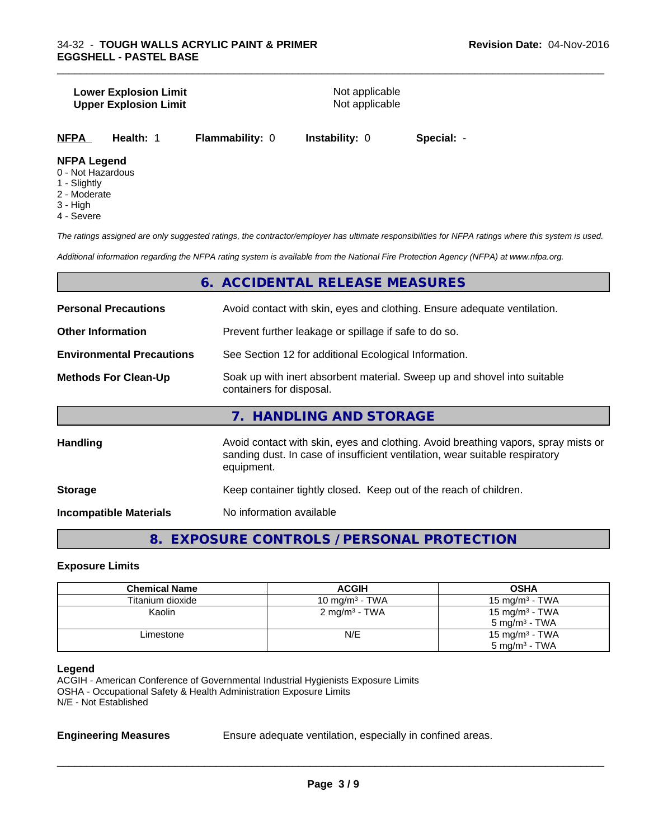#### **Lower Explosion Limit**<br> **Upper Explosion Limit**<br> **Upper Explosion Limit Upper Explosion Limit**

\_\_\_\_\_\_\_\_\_\_\_\_\_\_\_\_\_\_\_\_\_\_\_\_\_\_\_\_\_\_\_\_\_\_\_\_\_\_\_\_\_\_\_\_\_\_\_\_\_\_\_\_\_\_\_\_\_\_\_\_\_\_\_\_\_\_\_\_\_\_\_\_\_\_\_\_\_\_\_\_\_\_\_\_\_\_\_\_\_\_\_\_\_

**NFPA Health:** 1 **Flammability:** 0 **Instability:** 0 **Special:** -

#### **NFPA Legend**

- 0 Not Hazardous
- 1 Slightly
- 2 Moderate
- 3 High
- 4 Severe

*The ratings assigned are only suggested ratings, the contractor/employer has ultimate responsibilities for NFPA ratings where this system is used.*

*Additional information regarding the NFPA rating system is available from the National Fire Protection Agency (NFPA) at www.nfpa.org.*

# **6. ACCIDENTAL RELEASE MEASURES**

| <b>Personal Precautions</b>      | Avoid contact with skin, eyes and clothing. Ensure adequate ventilation.                                                                                                         |  |  |
|----------------------------------|----------------------------------------------------------------------------------------------------------------------------------------------------------------------------------|--|--|
| <b>Other Information</b>         | Prevent further leakage or spillage if safe to do so.                                                                                                                            |  |  |
| <b>Environmental Precautions</b> | See Section 12 for additional Ecological Information.                                                                                                                            |  |  |
| <b>Methods For Clean-Up</b>      | Soak up with inert absorbent material. Sweep up and shovel into suitable<br>containers for disposal.                                                                             |  |  |
|                                  | 7. HANDLING AND STORAGE                                                                                                                                                          |  |  |
| <b>Handling</b>                  | Avoid contact with skin, eyes and clothing. Avoid breathing vapors, spray mists or<br>sanding dust. In case of insufficient ventilation, wear suitable respiratory<br>equipment. |  |  |

| <b>Storage</b> | Keep container tightly closed. Keep out of the reach of children. |
|----------------|-------------------------------------------------------------------|
|                |                                                                   |

**Incompatible Materials** No information available

**8. EXPOSURE CONTROLS / PERSONAL PROTECTION**

#### **Exposure Limits**

| <b>Chemical Name</b> | <b>ACGIH</b>               | <b>OSHA</b>               |
|----------------------|----------------------------|---------------------------|
| Titanium dioxide     | 10 mg/m <sup>3</sup> - TWA | $15 \text{ mg/m}^3$ - TWA |
| Kaolin               | $2 \text{ mg/m}^3$ - TWA   | 15 mg/m $3$ - TWA         |
|                      |                            | $5 \text{ mg/m}^3$ - TWA  |
| Limestone            | N/E                        | 15 mg/m $3$ - TWA         |
|                      |                            | $5 \text{ mg/m}^3$ - TWA  |

#### **Legend**

ACGIH - American Conference of Governmental Industrial Hygienists Exposure Limits OSHA - Occupational Safety & Health Administration Exposure Limits N/E - Not Established

**Engineering Measures** Ensure adequate ventilation, especially in confined areas.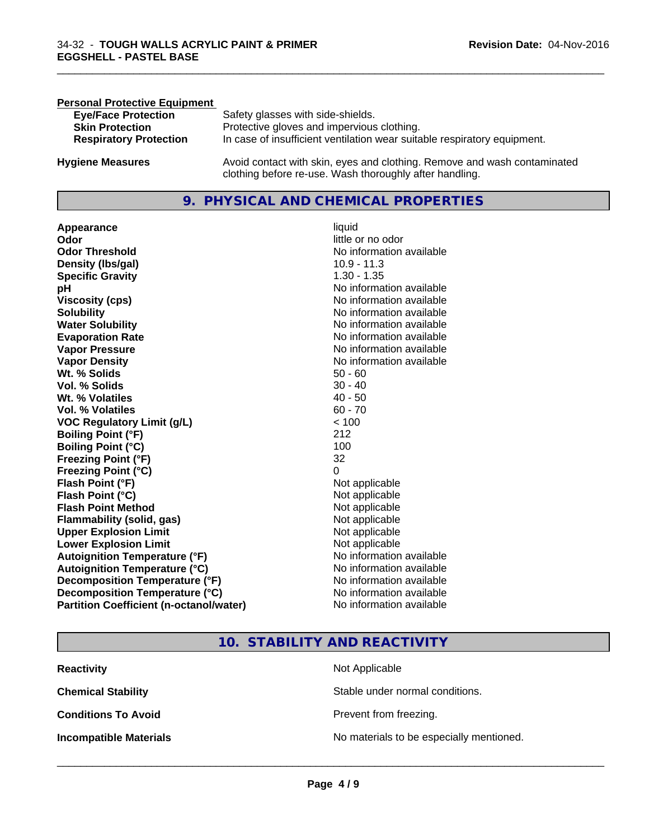| <b>Personal Protective Equipment</b> |                                                                                                                                     |
|--------------------------------------|-------------------------------------------------------------------------------------------------------------------------------------|
| <b>Eye/Face Protection</b>           | Safety glasses with side-shields.                                                                                                   |
| <b>Skin Protection</b>               | Protective gloves and impervious clothing.                                                                                          |
| <b>Respiratory Protection</b>        | In case of insufficient ventilation wear suitable respiratory equipment.                                                            |
| <b>Hygiene Measures</b>              | Avoid contact with skin, eyes and clothing. Remove and wash contaminated<br>clothing before re-use. Wash thoroughly after handling. |

# **9. PHYSICAL AND CHEMICAL PROPERTIES**

**Appearance** liquid **and a limitation of the contract of the contract of the contract of the contract of the contract of the contract of the contract of the contract of the contract of the contract of the contract of the c Odor Threshold No information available No information available Density (lbs/gal)** 10.9 - 11.3 **Specific Gravity** 1.30 - 1.35 **pH** No information available **Viscosity (cps)** No information available **Solubility Note 2008 Note 2008 Note 2008 Note 2008 Note 2008 Note 2008 Note 2008 Note 2009 Note 2009 Note 2009 Note 2009 Note 2009 Note 2009 Note 2009 Note 2009 Note 2009 Note 2009 Note Water Solubility** No information available **Evaporation Rate No information available**<br> **Vapor Pressure** Monton available Vapor Pressure **Vapor Density**<br> **We Solids**<br>
We Solids
2019<br>
We Note that the Solid S0 - 60 **Wt. % Solids** 50 - 60<br> **Vol. % Solids** 30 - 40 **Vol. % Solids Wt. % Volatiles** 40 - 50<br> **Vol. % Volatiles** 60 - 70 **Vol. % Volatiles VOC Regulatory Limit (g/L)** < 100 **Boiling Point (°F)** 212 **Boiling Point (°C)** 100 **Freezing Point (°F)** 32 **Freezing Point (°C)** 0 **Flash Point (°F)** Not applicable **Flash Point (°C)**<br> **Flash Point Method**<br> **Flash Point Method**<br> **CO Flash Point Method**<br> **Flammability (solid. gas)** Not applicable Not applicable **Flammability** (solid, gas) **Upper Explosion Limit** Not applicable **Lower Explosion Limit** Not applicable **Autoignition Temperature (°F)** No information available **Autoignition Temperature (°C)** No information available **Decomposition Temperature (°F)** No information available **Decomposition Temperature (°C)** No information available **Partition Coefficient (n-octanol/water)** No information available

little or no odor **No information available** 

\_\_\_\_\_\_\_\_\_\_\_\_\_\_\_\_\_\_\_\_\_\_\_\_\_\_\_\_\_\_\_\_\_\_\_\_\_\_\_\_\_\_\_\_\_\_\_\_\_\_\_\_\_\_\_\_\_\_\_\_\_\_\_\_\_\_\_\_\_\_\_\_\_\_\_\_\_\_\_\_\_\_\_\_\_\_\_\_\_\_\_\_\_

# **10. STABILITY AND REACTIVITY**

| <b>Reactivity</b>             | Not Applicable                           |
|-------------------------------|------------------------------------------|
| <b>Chemical Stability</b>     | Stable under normal conditions.          |
| <b>Conditions To Avoid</b>    | Prevent from freezing.                   |
| <b>Incompatible Materials</b> | No materials to be especially mentioned. |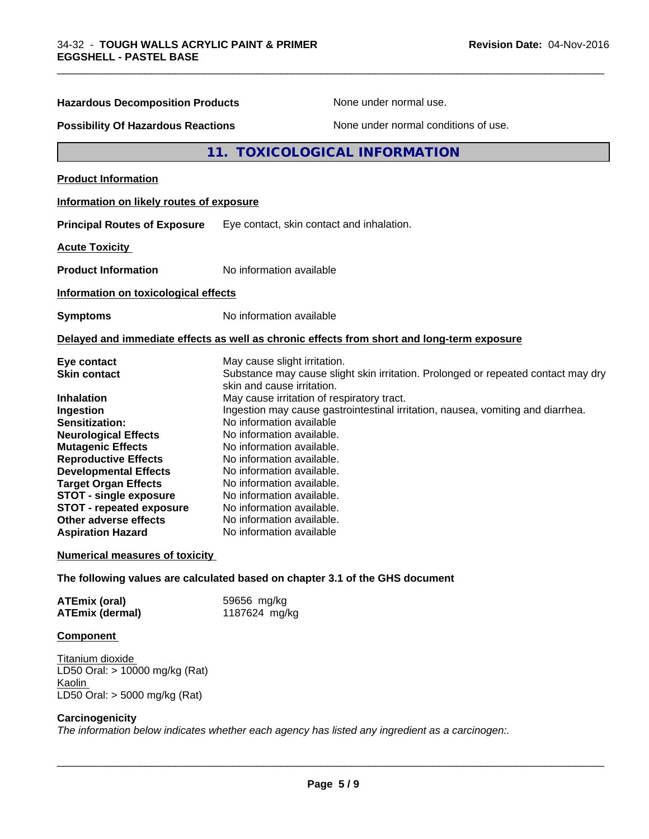| <b>Hazardous Decomposition Products</b>                                                                                                                                                                                                                                                                                                                                         | None under normal use.                                                                                                                                                                                                                                                                                                                                                                                                                                                                                                                                                           | None under normal conditions of use. |  |
|---------------------------------------------------------------------------------------------------------------------------------------------------------------------------------------------------------------------------------------------------------------------------------------------------------------------------------------------------------------------------------|----------------------------------------------------------------------------------------------------------------------------------------------------------------------------------------------------------------------------------------------------------------------------------------------------------------------------------------------------------------------------------------------------------------------------------------------------------------------------------------------------------------------------------------------------------------------------------|--------------------------------------|--|
| <b>Possibility Of Hazardous Reactions</b>                                                                                                                                                                                                                                                                                                                                       |                                                                                                                                                                                                                                                                                                                                                                                                                                                                                                                                                                                  |                                      |  |
|                                                                                                                                                                                                                                                                                                                                                                                 | 11. TOXICOLOGICAL INFORMATION                                                                                                                                                                                                                                                                                                                                                                                                                                                                                                                                                    |                                      |  |
| <b>Product Information</b>                                                                                                                                                                                                                                                                                                                                                      |                                                                                                                                                                                                                                                                                                                                                                                                                                                                                                                                                                                  |                                      |  |
| Information on likely routes of exposure                                                                                                                                                                                                                                                                                                                                        |                                                                                                                                                                                                                                                                                                                                                                                                                                                                                                                                                                                  |                                      |  |
| <b>Principal Routes of Exposure</b>                                                                                                                                                                                                                                                                                                                                             | Eye contact, skin contact and inhalation.                                                                                                                                                                                                                                                                                                                                                                                                                                                                                                                                        |                                      |  |
| <b>Acute Toxicity</b>                                                                                                                                                                                                                                                                                                                                                           |                                                                                                                                                                                                                                                                                                                                                                                                                                                                                                                                                                                  |                                      |  |
| <b>Product Information</b>                                                                                                                                                                                                                                                                                                                                                      | No information available                                                                                                                                                                                                                                                                                                                                                                                                                                                                                                                                                         |                                      |  |
| Information on toxicological effects                                                                                                                                                                                                                                                                                                                                            |                                                                                                                                                                                                                                                                                                                                                                                                                                                                                                                                                                                  |                                      |  |
| <b>Symptoms</b>                                                                                                                                                                                                                                                                                                                                                                 | No information available                                                                                                                                                                                                                                                                                                                                                                                                                                                                                                                                                         |                                      |  |
|                                                                                                                                                                                                                                                                                                                                                                                 | Delayed and immediate effects as well as chronic effects from short and long-term exposure                                                                                                                                                                                                                                                                                                                                                                                                                                                                                       |                                      |  |
| Eye contact<br><b>Skin contact</b><br><b>Inhalation</b><br>Ingestion<br><b>Sensitization:</b><br><b>Neurological Effects</b><br><b>Mutagenic Effects</b><br><b>Reproductive Effects</b><br><b>Developmental Effects</b><br><b>Target Organ Effects</b><br><b>STOT - single exposure</b><br><b>STOT - repeated exposure</b><br>Other adverse effects<br><b>Aspiration Hazard</b> | May cause slight irritation.<br>Substance may cause slight skin irritation. Prolonged or repeated contact may dry<br>skin and cause irritation.<br>May cause irritation of respiratory tract.<br>Ingestion may cause gastrointestinal irritation, nausea, vomiting and diarrhea.<br>No information available<br>No information available.<br>No information available.<br>No information available.<br>No information available.<br>No information available.<br>No information available.<br>No information available.<br>No information available.<br>No information available |                                      |  |
| <b>Numerical measures of toxicity</b>                                                                                                                                                                                                                                                                                                                                           |                                                                                                                                                                                                                                                                                                                                                                                                                                                                                                                                                                                  |                                      |  |
|                                                                                                                                                                                                                                                                                                                                                                                 | The following values are calculated based on chapter 3.1 of the GHS document                                                                                                                                                                                                                                                                                                                                                                                                                                                                                                     |                                      |  |
| <b>ATEmix (oral)</b><br><b>ATEmix (dermal)</b>                                                                                                                                                                                                                                                                                                                                  | 59656 mg/kg<br>1187624 mg/kg                                                                                                                                                                                                                                                                                                                                                                                                                                                                                                                                                     |                                      |  |

\_\_\_\_\_\_\_\_\_\_\_\_\_\_\_\_\_\_\_\_\_\_\_\_\_\_\_\_\_\_\_\_\_\_\_\_\_\_\_\_\_\_\_\_\_\_\_\_\_\_\_\_\_\_\_\_\_\_\_\_\_\_\_\_\_\_\_\_\_\_\_\_\_\_\_\_\_\_\_\_\_\_\_\_\_\_\_\_\_\_\_\_\_

### **Component**

Titanium dioxide LD50 Oral: > 10000 mg/kg (Rat) **Kaolin** LD50 Oral: > 5000 mg/kg (Rat)

#### **Carcinogenicity**

*The information below indicateswhether each agency has listed any ingredient as a carcinogen:.*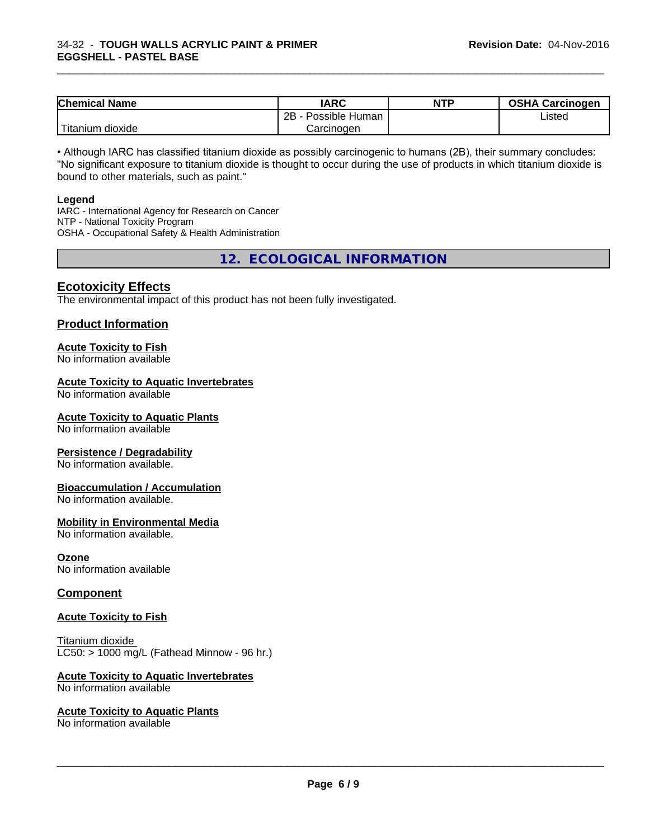| <b>Chemical Name</b>      | <b>IARC</b>          | <b>NTP</b> | <b>OSHA Carcinogen</b> |
|---------------------------|----------------------|------------|------------------------|
|                           | 2B<br>Possible Human |            | Listed                 |
| .<br>dioxide<br>I ıtanıum | Carcinogen           |            |                        |

\_\_\_\_\_\_\_\_\_\_\_\_\_\_\_\_\_\_\_\_\_\_\_\_\_\_\_\_\_\_\_\_\_\_\_\_\_\_\_\_\_\_\_\_\_\_\_\_\_\_\_\_\_\_\_\_\_\_\_\_\_\_\_\_\_\_\_\_\_\_\_\_\_\_\_\_\_\_\_\_\_\_\_\_\_\_\_\_\_\_\_\_\_

• Although IARC has classified titanium dioxide as possibly carcinogenic to humans (2B), their summary concludes: "No significant exposure to titanium dioxide is thought to occur during the use of products in which titanium dioxide is bound to other materials, such as paint."

#### **Legend**

IARC - International Agency for Research on Cancer NTP - National Toxicity Program OSHA - Occupational Safety & Health Administration

**12. ECOLOGICAL INFORMATION**

# **Ecotoxicity Effects**

The environmental impact of this product has not been fully investigated.

#### **Product Information**

#### **Acute Toxicity to Fish**

No information available

#### **Acute Toxicity to Aquatic Invertebrates**

No information available

### **Acute Toxicity to Aquatic Plants**

No information available

#### **Persistence / Degradability**

No information available.

#### **Bioaccumulation / Accumulation**

No information available.

### **Mobility in Environmental Media**

No information available.

#### **Ozone**

No information available

#### **Component**

#### **Acute Toxicity to Fish**

Titanium dioxide  $LCS0: > 1000$  mg/L (Fathead Minnow - 96 hr.)

#### **Acute Toxicity to Aquatic Invertebrates**

No information available

#### **Acute Toxicity to Aquatic Plants**

No information available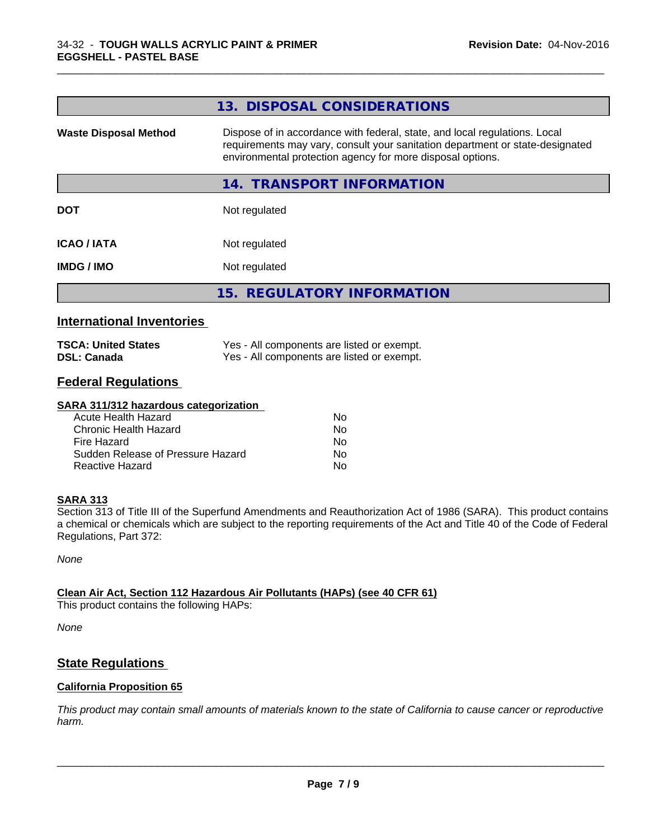|                              | 13. DISPOSAL CONSIDERATIONS                                                                                                                                                                                               |
|------------------------------|---------------------------------------------------------------------------------------------------------------------------------------------------------------------------------------------------------------------------|
| <b>Waste Disposal Method</b> | Dispose of in accordance with federal, state, and local regulations. Local<br>requirements may vary, consult your sanitation department or state-designated<br>environmental protection agency for more disposal options. |
|                              | <b>TRANSPORT INFORMATION</b><br>14.                                                                                                                                                                                       |
| <b>DOT</b>                   | Not regulated                                                                                                                                                                                                             |
| <b>ICAO/IATA</b>             | Not regulated                                                                                                                                                                                                             |
| <b>IMDG/IMO</b>              | Not regulated                                                                                                                                                                                                             |
|                              | 15. REGULATORY INFORMATION                                                                                                                                                                                                |

\_\_\_\_\_\_\_\_\_\_\_\_\_\_\_\_\_\_\_\_\_\_\_\_\_\_\_\_\_\_\_\_\_\_\_\_\_\_\_\_\_\_\_\_\_\_\_\_\_\_\_\_\_\_\_\_\_\_\_\_\_\_\_\_\_\_\_\_\_\_\_\_\_\_\_\_\_\_\_\_\_\_\_\_\_\_\_\_\_\_\_\_\_

# **International Inventories**

| <b>TSCA: United States</b> | Yes - All components are listed or exempt. |
|----------------------------|--------------------------------------------|
| <b>DSL: Canada</b>         | Yes - All components are listed or exempt. |

# **Federal Regulations**

### **SARA 311/312 hazardous categorization**

| Acute Health Hazard               | Nο |
|-----------------------------------|----|
| Chronic Health Hazard             | N٥ |
| Fire Hazard                       | N٥ |
| Sudden Release of Pressure Hazard | Nο |
| Reactive Hazard                   | N٥ |

# **SARA 313**

Section 313 of Title III of the Superfund Amendments and Reauthorization Act of 1986 (SARA). This product contains a chemical or chemicals which are subject to the reporting requirements of the Act and Title 40 of the Code of Federal Regulations, Part 372:

*None*

# **Clean Air Act,Section 112 Hazardous Air Pollutants (HAPs) (see 40 CFR 61)**

This product contains the following HAPs:

*None*

# **State Regulations**

# **California Proposition 65**

This product may contain small amounts of materials known to the state of California to cause cancer or reproductive *harm.*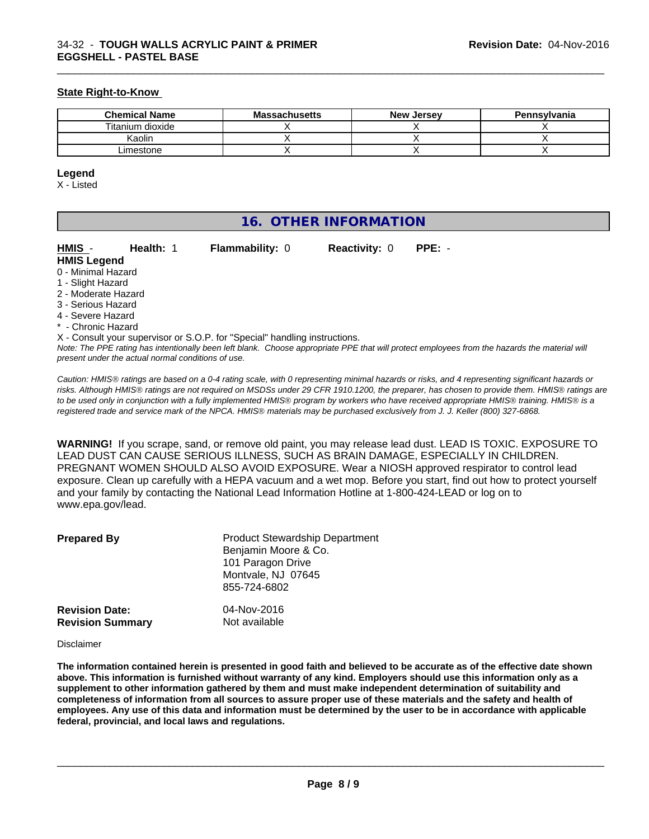#### **State Right-to-Know**

| <b>Chemical Name</b> | <b>Massachusetts</b> | <b>New Jersey</b> | Pennsylvania |
|----------------------|----------------------|-------------------|--------------|
| Titanium dioxide     |                      |                   |              |
| Kaolin               |                      |                   |              |
| Limestone            |                      |                   |              |

\_\_\_\_\_\_\_\_\_\_\_\_\_\_\_\_\_\_\_\_\_\_\_\_\_\_\_\_\_\_\_\_\_\_\_\_\_\_\_\_\_\_\_\_\_\_\_\_\_\_\_\_\_\_\_\_\_\_\_\_\_\_\_\_\_\_\_\_\_\_\_\_\_\_\_\_\_\_\_\_\_\_\_\_\_\_\_\_\_\_\_\_\_

#### **Legend**

X - Listed

| 16. OTHER INFORMATION |
|-----------------------|
|-----------------------|

| HMIS -              | Health: 1 | <b>Flammability: 0</b>                                                     | <b>Reactivity: 0</b> | $PPE: -$ |  |
|---------------------|-----------|----------------------------------------------------------------------------|----------------------|----------|--|
| <b>HMIS Legend</b>  |           |                                                                            |                      |          |  |
| 0 - Minimal Hazard  |           |                                                                            |                      |          |  |
| 1 - Slight Hazard   |           |                                                                            |                      |          |  |
| 2 - Moderate Hazard |           |                                                                            |                      |          |  |
| 3 - Serious Hazard  |           |                                                                            |                      |          |  |
| 4 - Severe Hazard   |           |                                                                            |                      |          |  |
| * - Chronic Hazard  |           |                                                                            |                      |          |  |
|                     |           | X - Consult your supervisor or S.O.P. for "Special" handling instructions. |                      |          |  |

*Note: The PPE rating has intentionally been left blank. Choose appropriate PPE that will protect employees from the hazards the material will present under the actual normal conditions of use.*

*Caution: HMISÒ ratings are based on a 0-4 rating scale, with 0 representing minimal hazards or risks, and 4 representing significant hazards or risks. Although HMISÒ ratings are not required on MSDSs under 29 CFR 1910.1200, the preparer, has chosen to provide them. HMISÒ ratings are to be used only in conjunction with a fully implemented HMISÒ program by workers who have received appropriate HMISÒ training. HMISÒ is a registered trade and service mark of the NPCA. HMISÒ materials may be purchased exclusively from J. J. Keller (800) 327-6868.*

**WARNING!** If you scrape, sand, or remove old paint, you may release lead dust. LEAD IS TOXIC. EXPOSURE TO LEAD DUST CAN CAUSE SERIOUS ILLNESS, SUCH AS BRAIN DAMAGE, ESPECIALLY IN CHILDREN. PREGNANT WOMEN SHOULD ALSO AVOID EXPOSURE.Wear a NIOSH approved respirator to control lead exposure. Clean up carefully with a HEPA vacuum and a wet mop. Before you start, find out how to protect yourself and your family by contacting the National Lead Information Hotline at 1-800-424-LEAD or log on to www.epa.gov/lead.

| <b>Prepared By</b>      | <b>Product Stewardship Department</b><br>Benjamin Moore & Co.<br>101 Paragon Drive<br>Montvale, NJ 07645<br>855-724-6802 |
|-------------------------|--------------------------------------------------------------------------------------------------------------------------|
| <b>Revision Date:</b>   | 04-Nov-2016                                                                                                              |
| <b>Revision Summary</b> | Not available                                                                                                            |

Disclaimer

The information contained herein is presented in good faith and believed to be accurate as of the effective date shown above. This information is furnished without warranty of any kind. Employers should use this information only as a **supplement to other information gathered by them and must make independent determination of suitability and** completeness of information from all sources to assure proper use of these materials and the safety and health of employees. Any use of this data and information must be determined by the user to be in accordance with applicable **federal, provincial, and local laws and regulations.**